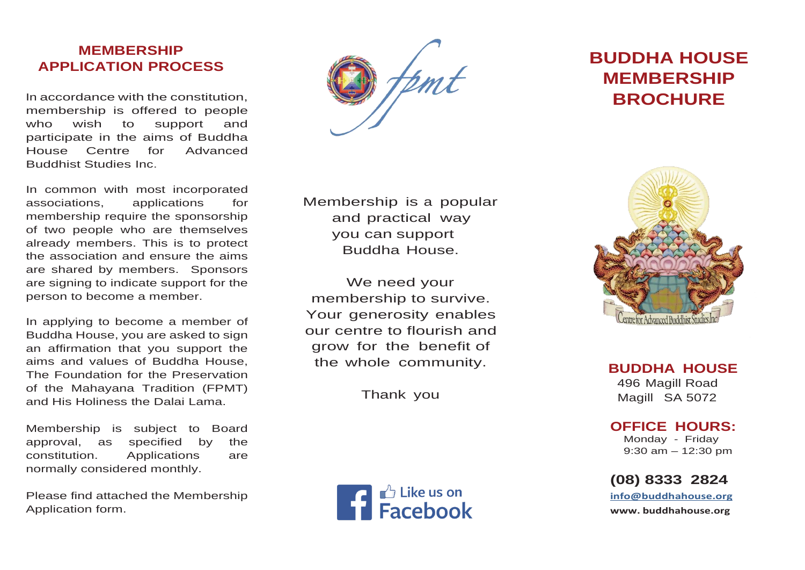# **MEMBERSHIP APPLICATION PROCESS**

In accordance with the constitution, membership is offered to people who wish to support and participate in the aims of Buddha House Centre for Advanced Buddhist Studies Inc.

In common with most incorporated associations, applications for membership require the sponsorship of two people who are themselves already members. This is to protect the association and ensure the aims are shared by members. Sponsors are signing to indicate support for the person to become a member.

In applying to become a member of Buddha House, you are asked to sign an affirmation that you support the aims and values of Buddha House, The Foundation for the Preservation of the Mahayana Tradition (FPMT) and His Holiness the Dalai Lama.

Membership is subject to Board approval, as specified by the constitution. Applications are normally considered monthly.

Please find attached the Membership Application form.

Membership is a popular and practical way you can support Buddha House.

We need your membership to survive. Your generosity enables our centre to flourish and grow for the benefit of the whole community.

Thank you



# **BUDDHA HOUSE MEMBERSHIP BROCHURE**



**BUDDHA HOUSE** 496 Magill Road Magill SA 5072

#### **OFFICE HOURS:**

 Monday - Friday 9:30 am – 12:30 pm

# **(08) 8333 2824**

**info@buddhahouse.org [www.](http://www/) buddhahouse.org**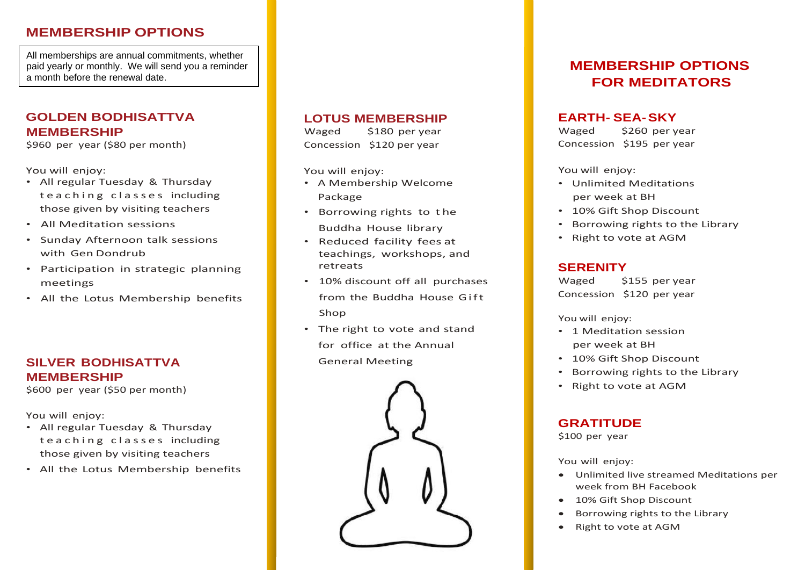## **MEMBERSHIP OPTIONS**

All memberships are annual commitments, whether paid yearly or monthly. We will send you a reminder a month before the renewal date.

## **GOLDEN BODHISATTVA MEMBERSHIP**

\$960 per year (\$80 per month)

You will enjoy:

- All regular Tuesday & Thursday te a ching classes including those given by visiting teachers
- All Meditation sessions
- Sunday Afternoon talk sessions with Gen Dondrub
- Participation in strategic planning meetings
- All the Lotus Membership benefits

## **SILVER BODHISATTVA MEMBERSHIP**

\$600 per year (\$50 per month)

You will enjoy:

- All regular Tuesday & Thursday teaching classes including those given by visiting teachers
- All the Lotus Membership benefits

## **LOTUS MEMBERSHIP**

Waged \$180 per year Concession \$120 per year

You will enjoy:

- A Membership Welcome Package
- Borrowing rights to t he Buddha House library
- Reduced facility fees at teachings, workshops, and retreats
- 10% discount off all purchases from the Buddha House Gift Shop
- The right to vote and stand for office at the Annual General Meeting



# **MEMBERSHIP OPTIONS FOR MEDITATORS**

#### **EARTH- SEA-SKY**

Waged \$260 per year Concession \$195 per year

You will enjoy:

- Unlimited Meditations per week at BH
- 10% Gift Shop Discount
- Borrowing rights to the Library
- Right to vote at AGM

#### **SERENITY**

Waged \$155 per year Concession \$120 per year

You will enjoy:

- 1 Meditation session per week at BH
- 10% Gift Shop Discount
- Borrowing rights to the Library
- Right to vote at AGM

## **GRATITUDE**

\$100 per year

You will enjoy:

- Unlimited live streamed Meditations per week from BH Facebook
- 10% Gift Shop Discount
- Borrowing rights to the Library
- Right to vote at AGM